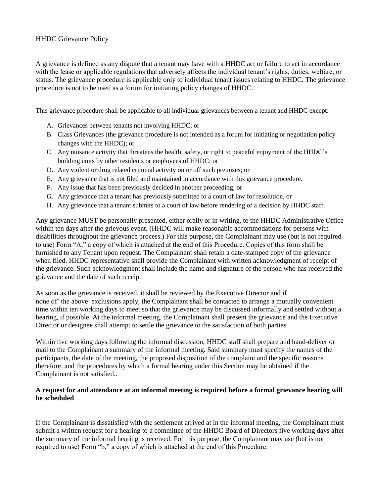### HHDC Grievance Policy

A grievance is defined as any dispute that a tenant may have with a HHDC act or failure to act in accordance with the lease or applicable regulations that adversely affects the individual tenant's rights, duties, welfare, or status. The grievance procedure is applicable only to individual tenant issues relating to HHDC. The grievance procedure is not to be used as a forum for initiating policy changes of HHDC.

This grievance procedure shall be applicable to all individual grievances between a tenant and HHDC except:

- A. Grievances between tenants not involving HHDC; or
- B. Class Grievances (the grievance procedure is not intended as a forum for initiating or negotiation policy changes with the HHDC); or
- C. Any nuisance activity that threatens the health, safety, or right to peaceful enjoyment of the HHDC's building units by other residents or employees of HHDC; or
- D. Any violent or drug related criminal activity on or off such premises; or
- E. Any grievance that is not filed and maintained in accordance with this grievance procedure.
- F. Any issue that has been previously decided in another proceeding; or
- G. Any grievance that a tenant has previously submitted to a court of law for resolution, or
- H. Any grievance that a tenant submits to a court of law before rendering of a decision by HHDC staff.

Any grievance MUST be personally presented, either orally or in writing, to the HHDC Administrative Office within ten days after the grievous event. (HHDC will make reasonable accommodations for persons with disabilities throughout the grievance process.) For this purpose, the Complainant may use (but is not required to use) Form "A," a copy of which is attached at the end of this Procedure. Copies of this form shall be furnished to any Tenant upon request. The Complainant shall retain a date-stamped copy of the grievance when filed. HHDC representative shall provide the Complainant with written acknowledgment of receipt of the grievance. Such acknowledgment shall include the name and signature of the person who has received the grievance and the date of such receipt.

As soon as the grievance is received, it shall be reviewed by the Executive Director and if none of' the above exclusions apply, the Complainant shall be contacted to arrange a mutually convenient time within ten working days to meet so that the grievance may be discussed informally and settled without a hearing, if possible. At the informal meeting, the Complainant shall present the grievance and the Executive Director or designee shall attempt to settle the grievance to the satisfaction of both parties.

Within five working days following the informal discussion, HHDC staff shall prepare and hand-deliver or mail to the Complainant a summary of the informal meeting. Said summary must specify the names of the participants, the date of the meeting, the proposed disposition of the complaint and the specific reasons therefore, and the procedures by which a formal hearing under this Section may be obtained if the Complainant is not satisfied..

### **A request for and attendance at an informal meeting is required before a formal grievance hearing will be scheduled**

If the Complainant is dissatisfied with the settlement arrived at in the informal meeting, the Complainant must submit a written request for a hearing to a committee of the HHDC Board of Directors five working days after the summary of the informal hearing is received. For this purpose, the Complainant may use (but is not required to use) Form "b," a copy of which is attached at the end of this Procedure.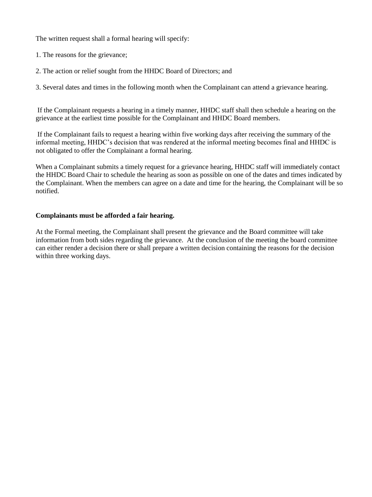The written request shall a formal hearing will specify:

1. The reasons for the grievance;

2. The action or relief sought from the HHDC Board of Directors; and

3. Several dates and times in the following month when the Complainant can attend a grievance hearing.

If the Complainant requests a hearing in a timely manner, HHDC staff shall then schedule a hearing on the grievance at the earliest time possible for the Complainant and HHDC Board members.

If the Complainant fails to request a hearing within five working days after receiving the summary of the informal meeting, HHDC's decision that was rendered at the informal meeting becomes final and HHDC is not obligated to offer the Complainant a formal hearing.

When a Complainant submits a timely request for a grievance hearing, HHDC staff will immediately contact the HHDC Board Chair to schedule the hearing as soon as possible on one of the dates and times indicated by the Complainant. When the members can agree on a date and time for the hearing, the Complainant will be so notified.

### **Complainants must be afforded a fair hearing.**

At the Formal meeting, the Complainant shall present the grievance and the Board committee will take information from both sides regarding the grievance. At the conclusion of the meeting the board committee can either render a decision there or shall prepare a written decision containing the reasons for the decision within three working days.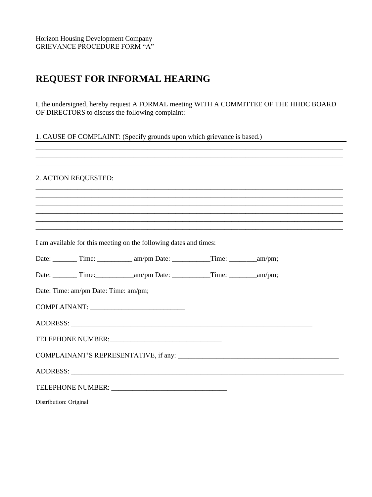## **REQUEST FOR INFORMAL HEARING**

I, the undersigned, hereby request A FORMAL meeting WITH A COMMITTEE OF THE HHDC BOARD OF DIRECTORS to discuss the following complaint:

1. CAUSE OF COMPLAINT: (Specify grounds upon which grievance is based.)

### 2. ACTION REOUESTED:

I am available for this meeting on the following dates and times: Date: Time: am/pm Date: Time: am/pm; Date: Time: am/pm Date: Time: am/pm; COMPLAINANT: ADDRESS: ADDRESS: TELEPHONE NUMBER: COMPLAINANT'S REPRESENTATIVE, if any: Distribution: Original